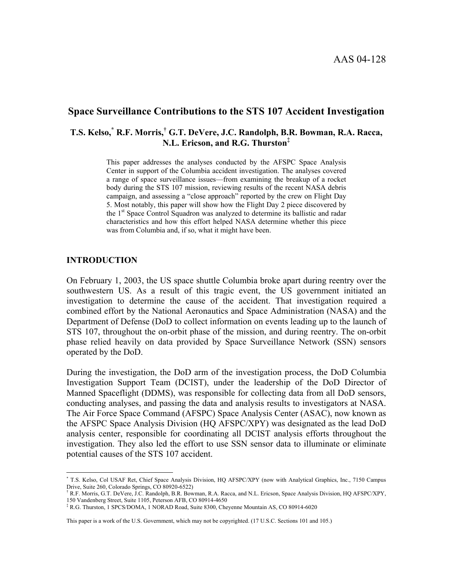AAS 04-128

# **Space Surveillance Contributions to the STS 107 Accident Investigation**

# **T.S. Kelso,[\\*](#page-0-0) R.F. Morris,[†](#page-0-1) G.T. DeVere, J.C. Randolph, B.R. Bowman, R.A. Racca, N.L. Ericson, and R.G. Thursto[n‡](#page-0-2)**

This paper addresses the analyses conducted by the AFSPC Space Analysis Center in support of the Columbia accident investigation. The analyses covered a range of space surveillance issues—from examining the breakup of a rocket body during the STS 107 mission, reviewing results of the recent NASA debris campaign, and assessing a "close approach" reported by the crew on Flight Day 5. Most notably, this paper will show how the Flight Day 2 piece discovered by the 1<sup>st</sup> Space Control Squadron was analyzed to determine its ballistic and radar characteristics and how this effort helped NASA determine whether this piece was from Columbia and, if so, what it might have been.

#### **INTRODUCTION**

On February 1, 2003, the US space shuttle Columbia broke apart during reentry over the southwestern US. As a result of this tragic event, the US government initiated an investigation to determine the cause of the accident. That investigation required a combined effort by the National Aeronautics and Space Administration (NASA) and the Department of Defense (DoD to collect information on events leading up to the launch of STS 107, throughout the on-orbit phase of the mission, and during reentry. The on-orbit phase relied heavily on data provided by Space Surveillance Network (SSN) sensors operated by the DoD.

During the investigation, the DoD arm of the investigation process, the DoD Columbia Investigation Support Team (DCIST), under the leadership of the DoD Director of Manned Spaceflight (DDMS), was responsible for collecting data from all DoD sensors, conducting analyses, and passing the data and analysis results to investigators at NASA. The Air Force Space Command (AFSPC) Space Analysis Center (ASAC), now known as the AFSPC Space Analysis Division (HQ AFSPC/XPY) was designated as the lead DoD analysis center, responsible for coordinating all DCIST analysis efforts throughout the investigation. They also led the effort to use SSN sensor data to illuminate or eliminate potential causes of the STS 107 accident.

This paper is a work of the U.S. Government, which may not be copyrighted. (17 U.S.C. Sections 101 and 105.)

<span id="page-0-0"></span> $\overline{a}$ \* T.S. Kelso, Col USAF Ret, Chief Space Analysis Division, HQ AFSPC/XPY (now with Analytical Graphics, Inc., 7150 Campus Drive, Suite 260, Colorado Springs, CO 80920-6522)

<span id="page-0-1"></span><sup>†</sup> R.F. Morris, G.T. DeVere, J.C. Randolph, B.R. Bowman, R.A. Racca, and N.L. Ericson, Space Analysis Division, HQ AFSPC/XPY, 150 Vandenberg Street, Suite 1105, Peterson AFB, CO 80914-4650

<span id="page-0-2"></span><sup>‡</sup> R.G. Thurston, 1 SPCS/DOMA, 1 NORAD Road, Suite 8300, Cheyenne Mountain AS, CO 80914-6020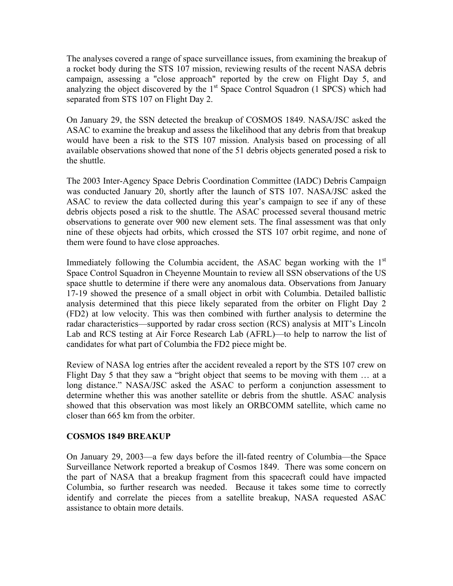The analyses covered a range of space surveillance issues, from examining the breakup of a rocket body during the STS 107 mission, reviewing results of the recent NASA debris campaign, assessing a "close approach" reported by the crew on Flight Day 5, and analyzing the object discovered by the  $1<sup>st</sup>$  Space Control Squadron (1 SPCS) which had separated from STS 107 on Flight Day 2.

On January 29, the SSN detected the breakup of COSMOS 1849. NASA/JSC asked the ASAC to examine the breakup and assess the likelihood that any debris from that breakup would have been a risk to the STS 107 mission. Analysis based on processing of all available observations showed that none of the 51 debris objects generated posed a risk to the shuttle.

The 2003 Inter-Agency Space Debris Coordination Committee (IADC) Debris Campaign was conducted January 20, shortly after the launch of STS 107. NASA/JSC asked the ASAC to review the data collected during this year's campaign to see if any of these debris objects posed a risk to the shuttle. The ASAC processed several thousand metric observations to generate over 900 new element sets. The final assessment was that only nine of these objects had orbits, which crossed the STS 107 orbit regime, and none of them were found to have close approaches.

Immediately following the Columbia accident, the ASAC began working with the  $1<sup>st</sup>$ Space Control Squadron in Cheyenne Mountain to review all SSN observations of the US space shuttle to determine if there were any anomalous data. Observations from January 17-19 showed the presence of a small object in orbit with Columbia. Detailed ballistic analysis determined that this piece likely separated from the orbiter on Flight Day 2 (FD2) at low velocity. This was then combined with further analysis to determine the radar characteristics—supported by radar cross section (RCS) analysis at MIT's Lincoln Lab and RCS testing at Air Force Research Lab (AFRL)—to help to narrow the list of candidates for what part of Columbia the FD2 piece might be.

Review of NASA log entries after the accident revealed a report by the STS 107 crew on Flight Day 5 that they saw a "bright object that seems to be moving with them … at a long distance." NASA/JSC asked the ASAC to perform a conjunction assessment to determine whether this was another satellite or debris from the shuttle. ASAC analysis showed that this observation was most likely an ORBCOMM satellite, which came no closer than 665 km from the orbiter.

# **COSMOS 1849 BREAKUP**

On January 29, 2003—a few days before the ill-fated reentry of Columbia—the Space Surveillance Network reported a breakup of Cosmos 1849. There was some concern on the part of NASA that a breakup fragment from this spacecraft could have impacted Columbia, so further research was needed. Because it takes some time to correctly identify and correlate the pieces from a satellite breakup, NASA requested ASAC assistance to obtain more details.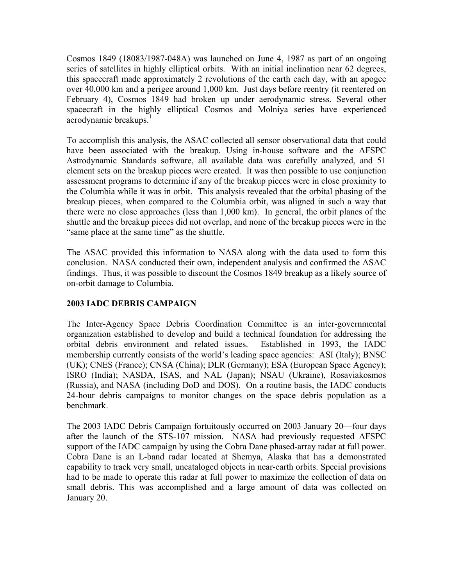Cosmos 1849 (18083/1987-048A) was launched on June 4, 1987 as part of an ongoing series of satellites in highly elliptical orbits. With an initial inclination near 62 degrees, this spacecraft made approximately 2 revolutions of the earth each day, with an apogee over 40,000 km and a perigee around 1,000 km. Just days before reentry (it reentered on February 4), Cosmos 1849 had broken up under aerodynamic stress. Several other spacecraft in the highly elliptical Cosmos and Molniya series have experienced aerodynamic breakups.<sup>[1](#page-6-0)</sup>

To accomplish this analysis, the ASAC collected all sensor observational data that could have been associated with the breakup. Using in-house software and the AFSPC Astrodynamic Standards software, all available data was carefully analyzed, and 51 element sets on the breakup pieces were created. It was then possible to use conjunction assessment programs to determine if any of the breakup pieces were in close proximity to the Columbia while it was in orbit. This analysis revealed that the orbital phasing of the breakup pieces, when compared to the Columbia orbit, was aligned in such a way that there were no close approaches (less than 1,000 km). In general, the orbit planes of the shuttle and the breakup pieces did not overlap, and none of the breakup pieces were in the "same place at the same time" as the shuttle.

The ASAC provided this information to NASA along with the data used to form this conclusion. NASA conducted their own, independent analysis and confirmed the ASAC findings. Thus, it was possible to discount the Cosmos 1849 breakup as a likely source of on-orbit damage to Columbia.

# **2003 IADC DEBRIS CAMPAIGN**

The Inter-Agency Space Debris Coordination Committee is an inter-governmental organization established to develop and build a technical foundation for addressing the orbital debris environment and related issues. Established in 1993, the IADC membership currently consists of the world's leading space agencies: ASI (Italy); BNSC (UK); CNES (France); CNSA (China); DLR (Germany); ESA (European Space Agency); ISRO (India); NASDA, ISAS, and NAL (Japan); NSAU (Ukraine), Rosaviakosmos (Russia), and NASA (including DoD and DOS). On a routine basis, the IADC conducts 24-hour debris campaigns to monitor changes on the space debris population as a benchmark.

The 2003 IADC Debris Campaign fortuitously occurred on 2003 January 20—four days after the launch of the STS-107 mission. NASA had previously requested AFSPC support of the IADC campaign by using the Cobra Dane phased-array radar at full power. Cobra Dane is an L-band radar located at Shemya, Alaska that has a demonstrated capability to track very small, uncataloged objects in near-earth orbits. Special provisions had to be made to operate this radar at full power to maximize the collection of data on small debris. This was accomplished and a large amount of data was collected on January 20.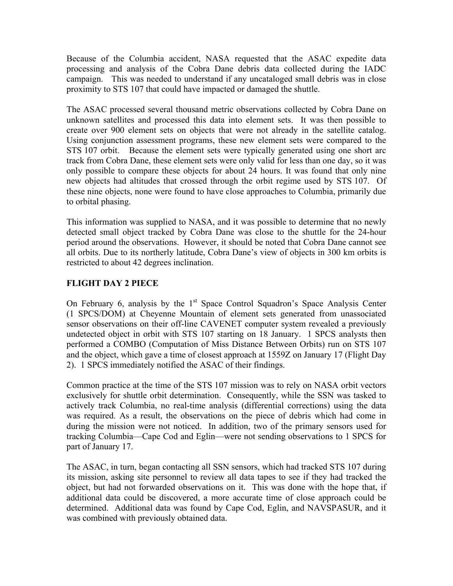Because of the Columbia accident, NASA requested that the ASAC expedite data processing and analysis of the Cobra Dane debris data collected during the IADC campaign. This was needed to understand if any uncataloged small debris was in close proximity to STS 107 that could have impacted or damaged the shuttle.

The ASAC processed several thousand metric observations collected by Cobra Dane on unknown satellites and processed this data into element sets. It was then possible to create over 900 element sets on objects that were not already in the satellite catalog. Using conjunction assessment programs, these new element sets were compared to the STS 107 orbit. Because the element sets were typically generated using one short arc track from Cobra Dane, these element sets were only valid for less than one day, so it was only possible to compare these objects for about 24 hours. It was found that only nine new objects had altitudes that crossed through the orbit regime used by STS 107. Of these nine objects, none were found to have close approaches to Columbia, primarily due to orbital phasing.

This information was supplied to NASA, and it was possible to determine that no newly detected small object tracked by Cobra Dane was close to the shuttle for the 24-hour period around the observations. However, it should be noted that Cobra Dane cannot see all orbits. Due to its northerly latitude, Cobra Dane's view of objects in 300 km orbits is restricted to about 42 degrees inclination.

# **FLIGHT DAY 2 PIECE**

On February 6, analysis by the  $1<sup>st</sup>$  Space Control Squadron's Space Analysis Center (1 SPCS/DOM) at Cheyenne Mountain of element sets generated from unassociated sensor observations on their off-line CAVENET computer system revealed a previously undetected object in orbit with STS 107 starting on 18 January. 1 SPCS analysts then performed a COMBO (Computation of Miss Distance Between Orbits) run on STS 107 and the object, which gave a time of closest approach at 1559Z on January 17 (Flight Day 2). 1 SPCS immediately notified the ASAC of their findings.

Common practice at the time of the STS 107 mission was to rely on NASA orbit vectors exclusively for shuttle orbit determination. Consequently, while the SSN was tasked to actively track Columbia, no real-time analysis (differential corrections) using the data was required. As a result, the observations on the piece of debris which had come in during the mission were not noticed. In addition, two of the primary sensors used for tracking Columbia—Cape Cod and Eglin—were not sending observations to 1 SPCS for part of January 17.

The ASAC, in turn, began contacting all SSN sensors, which had tracked STS 107 during its mission, asking site personnel to review all data tapes to see if they had tracked the object, but had not forwarded observations on it. This was done with the hope that, if additional data could be discovered, a more accurate time of close approach could be determined. Additional data was found by Cape Cod, Eglin, and NAVSPASUR, and it was combined with previously obtained data.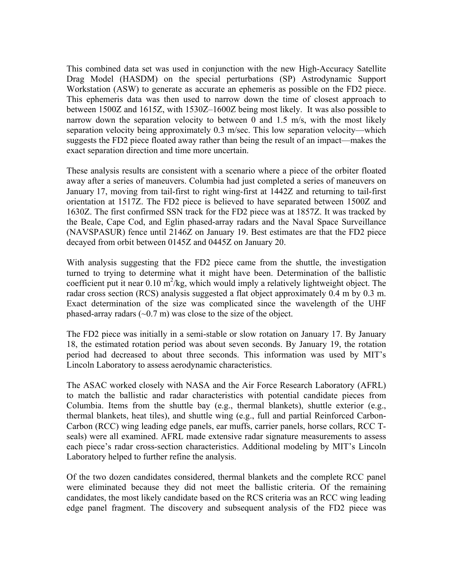This combined data set was used in conjunction with the new High-Accuracy Satellite Drag Model (HASDM) on the special perturbations (SP) Astrodynamic Support Workstation (ASW) to generate as accurate an ephemeris as possible on the FD2 piece. This ephemeris data was then used to narrow down the time of closest approach to between 1500Z and 1615Z, with 1530Z–1600Z being most likely. It was also possible to narrow down the separation velocity to between 0 and 1.5 m/s, with the most likely separation velocity being approximately 0.3 m/sec. This low separation velocity—which suggests the FD2 piece floated away rather than being the result of an impact—makes the exact separation direction and time more uncertain.

These analysis results are consistent with a scenario where a piece of the orbiter floated away after a series of maneuvers. Columbia had just completed a series of maneuvers on January 17, moving from tail-first to right wing-first at 1442Z and returning to tail-first orientation at 1517Z. The FD2 piece is believed to have separated between 1500Z and 1630Z. The first confirmed SSN track for the FD2 piece was at 1857Z. It was tracked by the Beale, Cape Cod, and Eglin phased-array radars and the Naval Space Surveillance (NAVSPASUR) fence until 2146Z on January 19. Best estimates are that the FD2 piece decayed from orbit between 0145Z and 0445Z on January 20.

With analysis suggesting that the FD2 piece came from the shuttle, the investigation turned to trying to determine what it might have been. Determination of the ballistic coefficient put it near  $0.10 \text{ m}^2/\text{kg}$ , which would imply a relatively lightweight object. The radar cross section (RCS) analysis suggested a flat object approximately 0.4 m by 0.3 m. Exact determination of the size was complicated since the wavelength of the UHF phased-array radars  $(\sim 0.7 \text{ m})$  was close to the size of the object.

The FD2 piece was initially in a semi-stable or slow rotation on January 17. By January 18, the estimated rotation period was about seven seconds. By January 19, the rotation period had decreased to about three seconds. This information was used by MIT's Lincoln Laboratory to assess aerodynamic characteristics.

The ASAC worked closely with NASA and the Air Force Research Laboratory (AFRL) to match the ballistic and radar characteristics with potential candidate pieces from Columbia. Items from the shuttle bay (e.g., thermal blankets), shuttle exterior (e.g., thermal blankets, heat tiles), and shuttle wing (e.g., full and partial Reinforced Carbon-Carbon (RCC) wing leading edge panels, ear muffs, carrier panels, horse collars, RCC Tseals) were all examined. AFRL made extensive radar signature measurements to assess each piece's radar cross-section characteristics. Additional modeling by MIT's Lincoln Laboratory helped to further refine the analysis.

Of the two dozen candidates considered, thermal blankets and the complete RCC panel were eliminated because they did not meet the ballistic criteria. Of the remaining candidates, the most likely candidate based on the RCS criteria was an RCC wing leading edge panel fragment. The discovery and subsequent analysis of the FD2 piece was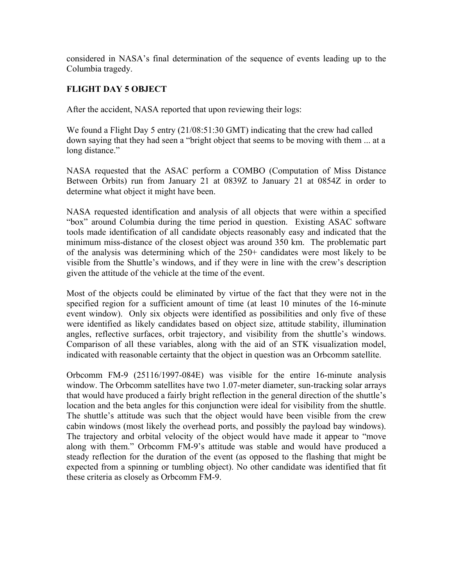considered in NASA's final determination of the sequence of events leading up to the Columbia tragedy.

# **FLIGHT DAY 5 OBJECT**

After the accident, NASA reported that upon reviewing their logs:

We found a Flight Day 5 entry (21/08:51:30 GMT) indicating that the crew had called down saying that they had seen a "bright object that seems to be moving with them ... at a long distance."

NASA requested that the ASAC perform a COMBO (Computation of Miss Distance Between Orbits) run from January 21 at 0839Z to January 21 at 0854Z in order to determine what object it might have been.

NASA requested identification and analysis of all objects that were within a specified "box" around Columbia during the time period in question. Existing ASAC software tools made identification of all candidate objects reasonably easy and indicated that the minimum miss-distance of the closest object was around 350 km. The problematic part of the analysis was determining which of the 250+ candidates were most likely to be visible from the Shuttle's windows, and if they were in line with the crew's description given the attitude of the vehicle at the time of the event.

Most of the objects could be eliminated by virtue of the fact that they were not in the specified region for a sufficient amount of time (at least 10 minutes of the 16-minute event window). Only six objects were identified as possibilities and only five of these were identified as likely candidates based on object size, attitude stability, illumination angles, reflective surfaces, orbit trajectory, and visibility from the shuttle's windows. Comparison of all these variables, along with the aid of an STK visualization model, indicated with reasonable certainty that the object in question was an Orbcomm satellite.

Orbcomm FM-9 (25116/1997-084E) was visible for the entire 16-minute analysis window. The Orbcomm satellites have two 1.07-meter diameter, sun-tracking solar arrays that would have produced a fairly bright reflection in the general direction of the shuttle's location and the beta angles for this conjunction were ideal for visibility from the shuttle. The shuttle's attitude was such that the object would have been visible from the crew cabin windows (most likely the overhead ports, and possibly the payload bay windows). The trajectory and orbital velocity of the object would have made it appear to "move along with them." Orbcomm FM-9's attitude was stable and would have produced a steady reflection for the duration of the event (as opposed to the flashing that might be expected from a spinning or tumbling object). No other candidate was identified that fit these criteria as closely as Orbcomm FM-9.